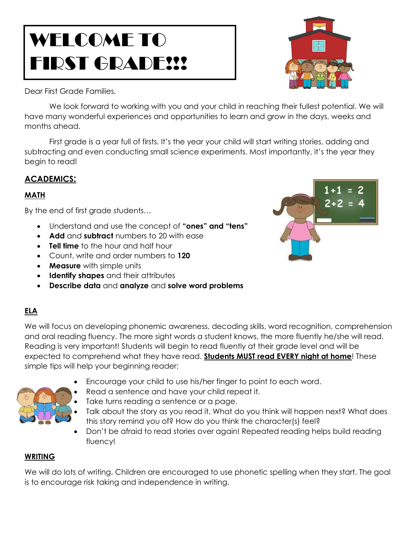# WELCOME TO FIRST GRADE!!!

Dear First Grade Families,

We look forward to working with you and your child in reaching their fullest potential. We will have many wonderful experiences and opportunities to learn and grow in the days, weeks and months ahead.

First grade is a year full of firsts. It's the year your child will start writing stories, adding and subtracting and even conducting small science experiments. Most importantly, it's the year they begin to read!

## **ACADEMICS:**

### **MATH**

By the end of first grade students…

- Understand and use the concept of **"ones" and "tens"**
- **Add** and **subtract** numbers to 20 with ease
- **Tell time** to the hour and half hour
- Count, write and order numbers to **120**
- **Measure** with simple units
- **Identify shapes** and their attributes
- **Describe data** and **analyze** and **solve word problems**

## **ELA**

We will focus on developing phonemic awareness, decoding skills, word recognition, comprehension and oral reading fluency. The more sight words a student knows, the more fluently he/she will read. Reading is very important! Students will begin to read fluently at their grade level and will be expected to comprehend what they have read. **Students MUST read EVERY night at home**! These simple tips will help your beginning reader:

- Encourage your child to use his/her finger to point to each word.
- Read a sentence and have your child repeat it.
	- Take turns reading a sentence or a page.
- Talk about the story as you read it. What do you think will happen next? What does this story remind you of? How do you think the character(s) feel?
- Don't be afraid to read stories over again! Repeated reading helps build reading fluency!

#### **WRITING**

We will do lots of writing. Children are encouraged to use phonetic spelling when they start. The goal is to encourage risk taking and independence in writing.